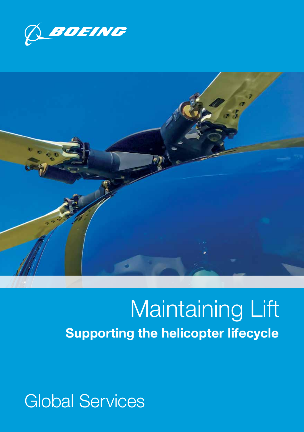



# Maintaining Lift Supporting the helicopter lifecycle

## Global Services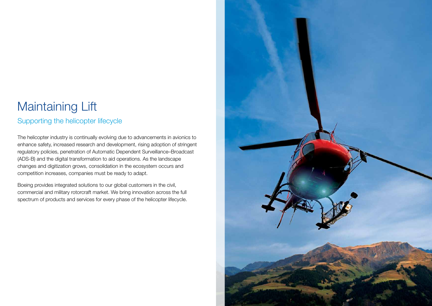## Maintaining Lift

### Supporting the helicopter lifecycle

The helicopter industry is continually evolving due to advancements in avionics to enhance safety, increased research and development, rising adoption of stringent regulatory policies, penetration of Automatic Dependent Surveillance–Broadcast (ADS-B) and the digital transformation to aid operations. As the landscape changes and digitization grows, consolidation in the ecosystem occurs and competition increases, companies must be ready to adapt.

Boeing provides integrated solutions to our global customers in the civil, commercial and military rotorcraft market. We bring innovation across the full spectrum of products and services for every phase of the helicopter lifecycle.

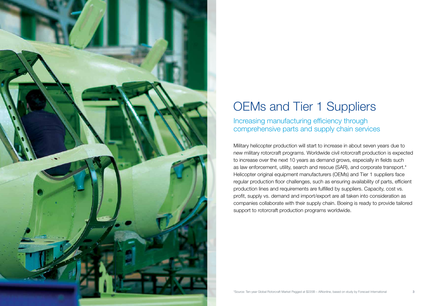

# OEMs and Tier 1 Suppliers

Increasing manufacturing efficiency through comprehensive parts and supply chain services

Military helicopter production will start to increase in about seven years due to new military rotorcraft programs. Worldwide civil rotorcraft production is expected to increase over the next 10 years as demand grows, especially in fields such as law enforcement, utility, search and rescue (SAR), and corporate transport.\* Helicopter original equipment manufacturers (OEMs) and Tier 1 suppliers face regular production floor challenges, such as ensuring availability of parts, efficient production lines and requirements are fulfilled by suppliers. Capacity, cost vs. profit, supply vs. demand and import/export are all taken into consideration as companies collaborate with their supply chain. Boeing is ready to provide tailored support to rotorcraft production programs worldwide.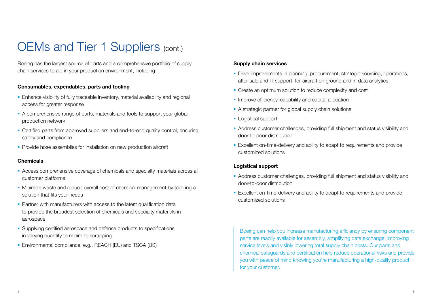## OEMs and Tier 1 Suppliers (cont.)

Boeing has the largest source of parts and a comprehensive portfolio of supply chain services to aid in your production environment, including:

#### Consumables, expendables, parts and tooling

- **Enhance visibility of fully traceable inventory, material availability and regional** access for greater response
- A comprehensive range of parts, materials and tools to support your global production network
- § Certified parts from approved suppliers and end-to-end quality control, ensuring safety and compliance
- **Provide hose assemblies for installation on new production aircraft**

#### **Chemicals**

- Access comprehensive coverage of chemicals and specialty materials across all customer platforms
- § Minimize waste and reduce overall cost of chemical management by tailoring a solution that fits your needs
- Partner with manufacturers with access to the latest qualification data to provide the broadest selection of chemicals and specialty materials in aerospace
- Supplying certified aerospace and defense products to specifications in varying quantity to minimize scrapping
- Environmental compliance, e.g., REACH (EU) and TSCA (US)

#### Supply chain services

- Drive improvements in planning, procurement, strategic sourcing, operations, after-sale and IT support, for aircraft on ground and in data analytics
- Create an optimum solution to reduce complexity and cost
- Improve efficiency, capability and capital allocation
- A strategic partner for global supply chain solutions
- Logistical support
- § Address customer challenges, providing full shipment and status visibility and door-to-door distribution
- § Excellent on-time-delivery and ability to adapt to requirements and provide customized solutions

#### Logistical support

- § Address customer challenges, providing full shipment and status visibility and door-to-door distribution
- Excellent on-time-delivery and ability to adapt to requirements and provide customized solutions

Boeing can help you increase manufacturing efficiency by ensuring component parts are readily available for assembly, simplifying data exchange, improving service levels and visibly lowering total supply chain costs. Our parts and chemical safeguards and certification help reduce operational risks and provide you with peace of mind knowing you're manufacturing a high-quality product for your customer.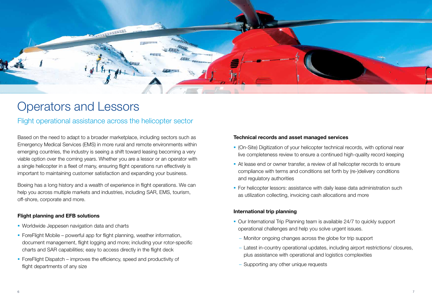

### Operators and Lessors

### Flight operational assistance across the helicopter sector

Based on the need to adapt to a broader marketplace, including sectors such as Emergency Medical Services (EMS) in more rural and remote environments within emerging countries, the industry is seeing a shift toward leasing becoming a very viable option over the coming years. Whether you are a lessor or an operator with a single helicopter in a fleet of many, ensuring flight operations run effectively is important to maintaining customer satisfaction and expanding your business.

Boeing has a long history and a wealth of experience in flight operations. We can help you across multiple markets and industries, including SAR, EMS, tourism, off-shore, corporate and more.

#### Flight planning and EFB solutions

- Worldwide Jeppesen navigation data and charts
- ForeFlight Mobile powerful app for flight planning, weather information, document management, flight logging and more; including your rotor-specific charts and SAR capabilities; easy to access directly in the flight deck
- ForeFlight Dispatch improves the efficiency, speed and productivity of flight departments of any size

#### Technical records and asset managed services

- § (On-Site) Digitization of your helicopter technical records, with optional near live completeness review to ensure a continued high-quality record keeping
- § At lease end or owner transfer, a review of all helicopter records to ensure compliance with terms and conditions set forth by (re-)delivery conditions and regulatory authorities
- § For helicopter lessors: assistance with daily lease data administration such as utilization collecting, invoicing cash allocations and more

#### International trip planning

- Our International Trip Planning team is available 24/7 to quickly support operational challenges and help you solve urgent issues.
	- Monitor ongoing changes across the globe for trip support
	- Latest in-country operational updates, including airport restrictions/ closures, plus assistance with operational and logistics complexities
	- Supporting any other unique requests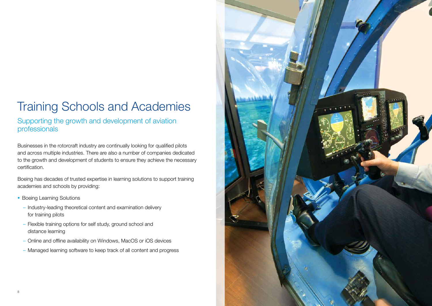# Training Schools and Academies

Supporting the growth and development of aviation professionals

Businesses in the rotorcraft industry are continually looking for qualified pilots and across multiple industries. There are also a number of companies dedicated to the growth and development of students to ensure they achieve the necessary certification.

Boeing has decades of trusted expertise in learning solutions to support training academies and schools by providing:

- Boeing Learning Solutions
	- Industry-leading theoretical content and examination delivery for training pilots
	- Flexible training options for self study, ground school and distance learning
	- Online and offline availability on Windows, MacOS or iOS devices
	- Managed learning software to keep track of all content and progress

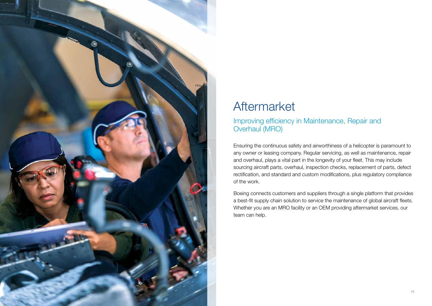

### Aftermarket

### Improving efficiency in Maintenance, Repair and Overhaul (MRO)

Ensuring the continuous safety and airworthiness of a helicopter is paramount to any owner or leasing company. Regular servicing, as well as maintenance, repair and overhaul, plays a vital part in the longevity of your fleet. This may include sourcing aircraft parts, overhaul, inspection checks, replacement of parts, defect rectification, and standard and custom modifications, plus regulatory compliance of the work.

Boeing connects customers and suppliers through a single platform that provides a best-fit supply chain solution to service the maintenance of global aircraft fleets. Whether you are an MRO facility or an OEM providing aftermarket services, our team can help.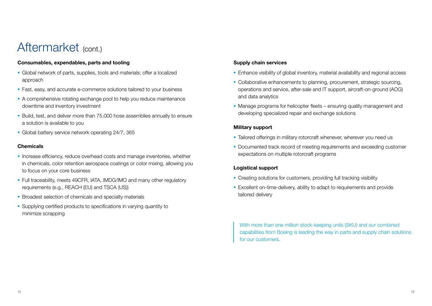### Aftermarket (cont.)

#### Consumables, expendables, parts and tooling

- § Global network of parts, supplies, tools and materials; offer a localized approach
- Fast, easy, and accurate e-commerce solutions tailored to your business
- § A comprehensive rotating exchange pool to help you reduce maintenance downtime and inventory investment
- § Build, test, and deliver more than 75,000 hose assemblies annually to ensure a solution is available to you
- § Global battery service network operating 24/7, 365

#### **Chemicals**

- Increase efficiency, reduce overhead costs and manage inventories, whether in chemicals, color retention aerospace coatings or color mixing, allowing you to focus on your core business
- Full traceability, meets 49CFR, IATA, IMDG/IMO and many other regulatory requirements (e.g., REACH (EU) and TSCA (US))
- Broadest selection of chemicals and specialty materials
- Supplying certified products to specifications in varying quantity to minimize scrapping

#### Supply chain services

- Enhance visibility of global inventory, material availability and regional access
- Collaborative enhancements to planning, procurement, strategic sourcing, operations and service, after-sale and IT support, aircraft-on-ground (AOG) and data analytics
- Manage programs for helicopter fleets ensuring quality management and developing specialized repair and exchange solutions

#### Military support

- Tailored offerings in military rotorcraft whenever, wherever you need us
- Documented track record of meeting requirements and exceeding customer expectations on multiple rotorcraft programs

#### Logistical support

- Creating solutions for customers, providing full tracking visibility
- Excellent on-time-delivery, ability to adapt to requirements and provide tailored delivery

With more than one million stock-keeping units (SKU) and our combined capabilities from Boeing is leading the way in parts and supply chain solutions for our customers.